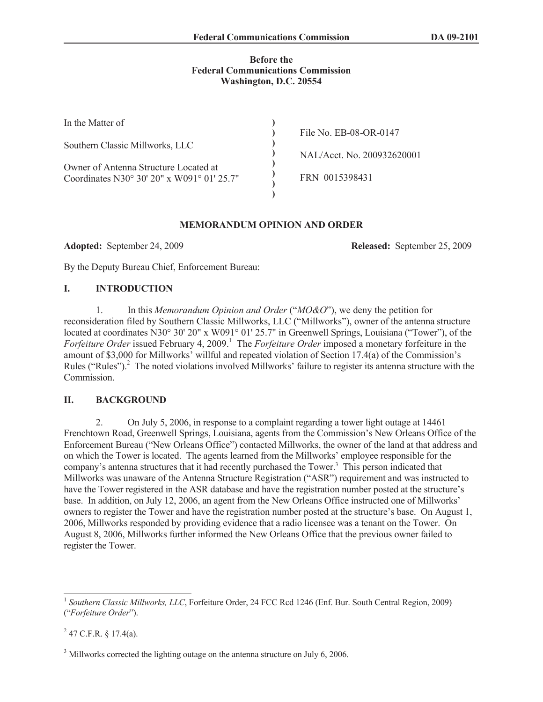#### **Before the Federal Communications Commission Washington, D.C. 20554**

| In the Matter of                           |                            |
|--------------------------------------------|----------------------------|
|                                            | File No. EB-08-OR-0147     |
| Southern Classic Millworks, LLC            |                            |
|                                            | NAL/Acct. No. 200932620001 |
| Owner of Antenna Structure Located at      |                            |
| Coordinates N30° 30' 20" x W091° 01' 25.7" | FRN 0015398431             |
|                                            |                            |

## **MEMORANDUM OPINION AND ORDER**

**Adopted:** September 24, 2009 **Released:** September 25, 2009

By the Deputy Bureau Chief, Enforcement Bureau:

# **I. INTRODUCTION**

1. In this *Memorandum Opinion and Order* ("*MO&O*"), we deny the petition for reconsideration filed by Southern Classic Millworks, LLC ("Millworks"), owner of the antenna structure located at coordinates N30° 30' 20" x W091° 01' 25.7" in Greenwell Springs, Louisiana ("Tower"), of the *Forfeiture Order* issued February 4, 2009.<sup>1</sup> The *Forfeiture Order* imposed a monetary forfeiture in the amount of \$3,000 for Millworks' willful and repeated violation of Section 17.4(a) of the Commission's Rules ("Rules").<sup>2</sup> The noted violations involved Millworks' failure to register its antenna structure with the Commission.

## **II. BACKGROUND**

2. On July 5, 2006, in response to a complaint regarding a tower light outage at 14461 Frenchtown Road, Greenwell Springs, Louisiana, agents from the Commission's New Orleans Office of the Enforcement Bureau ("New Orleans Office") contacted Millworks, the owner of the land at that address and on which the Tower is located. The agents learned from the Millworks' employee responsible for the company's antenna structures that it had recently purchased the Tower.<sup>3</sup> This person indicated that Millworks was unaware of the Antenna Structure Registration ("ASR") requirement and was instructed to have the Tower registered in the ASR database and have the registration number posted at the structure's base. In addition, on July 12, 2006, an agent from the New Orleans Office instructed one of Millworks' owners to register the Tower and have the registration number posted at the structure's base. On August 1, 2006, Millworks responded by providing evidence that a radio licensee was a tenant on the Tower. On August 8, 2006, Millworks further informed the New Orleans Office that the previous owner failed to register the Tower.

 $^{2}$  47 C.F.R. § 17.4(a).

<sup>&</sup>lt;sup>1</sup> Southern Classic Millworks, LLC, Forfeiture Order, 24 FCC Rcd 1246 (Enf. Bur. South Central Region, 2009) ("*Forfeiture Order*").

<sup>&</sup>lt;sup>3</sup> Millworks corrected the lighting outage on the antenna structure on July 6, 2006.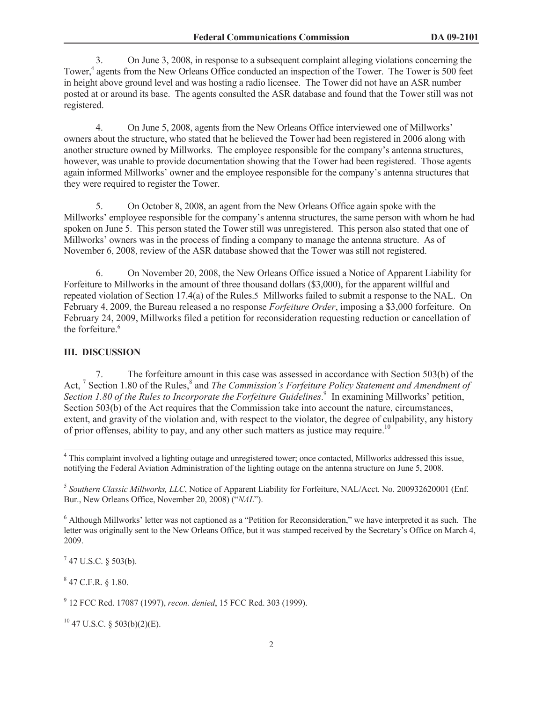3. On June 3, 2008, in response to a subsequent complaint alleging violations concerning the Tower,<sup>4</sup> agents from the New Orleans Office conducted an inspection of the Tower. The Tower is 500 feet in height above ground level and was hosting a radio licensee. The Tower did not have an ASR number posted at or around its base. The agents consulted the ASR database and found that the Tower still was not registered.

4. On June 5, 2008, agents from the New Orleans Office interviewed one of Millworks' owners about the structure, who stated that he believed the Tower had been registered in 2006 along with another structure owned by Millworks. The employee responsible for the company's antenna structures, however, was unable to provide documentation showing that the Tower had been registered. Those agents again informed Millworks' owner and the employee responsible for the company's antenna structures that they were required to register the Tower.

5. On October 8, 2008, an agent from the New Orleans Office again spoke with the Millworks' employee responsible for the company's antenna structures, the same person with whom he had spoken on June 5. This person stated the Tower still was unregistered. This person also stated that one of Millworks' owners was in the process of finding a company to manage the antenna structure. As of November 6, 2008, review of the ASR database showed that the Tower was still not registered.

6. On November 20, 2008, the New Orleans Office issued a Notice of Apparent Liability for Forfeiture to Millworks in the amount of three thousand dollars (\$3,000), for the apparent willful and repeated violation of Section 17.4(a) of the Rules.5 Millworks failed to submit a response to the NAL. On February 4, 2009, the Bureau released a no response *Forfeiture Order*, imposing a \$3,000 forfeiture. On February 24, 2009, Millworks filed a petition for reconsideration requesting reduction or cancellation of the forfeiture.<sup>6</sup>

#### **III. DISCUSSION**

7. The forfeiture amount in this case was assessed in accordance with Section 503(b) of the Act, <sup>7</sup> Section 1.80 of the Rules,<sup>8</sup> and *The Commission's Forfeiture Policy Statement and Amendment of* Section 1.80 of the Rules to Incorporate the Forfeiture Guidelines.<sup>9</sup> In examining Millworks' petition, Section 503(b) of the Act requires that the Commission take into account the nature, circumstances, extent, and gravity of the violation and, with respect to the violator, the degree of culpability, any history of prior offenses, ability to pay, and any other such matters as justice may require.<sup>10</sup>

 $7$  47 U.S.C. § 503(b).

 $847$  C.F.R. § 1.80.

<sup>10</sup> 47 U.S.C. § 503(b)(2)(E).

<sup>&</sup>lt;sup>4</sup> This complaint involved a lighting outage and unregistered tower; once contacted, Millworks addressed this issue, notifying the Federal Aviation Administration of the lighting outage on the antenna structure on June 5, 2008.

<sup>5</sup> *Southern Classic Millworks, LLC*, Notice of Apparent Liability for Forfeiture, NAL/Acct. No. 200932620001 (Enf. Bur., New Orleans Office, November 20, 2008) ("*NAL*").

<sup>&</sup>lt;sup>6</sup> Although Millworks' letter was not captioned as a "Petition for Reconsideration," we have interpreted it as such. The letter was originally sent to the New Orleans Office, but it was stamped received by the Secretary's Office on March 4, 2009.

<sup>9</sup> 12 FCC Rcd. 17087 (1997), *recon. denied*, 15 FCC Rcd. 303 (1999).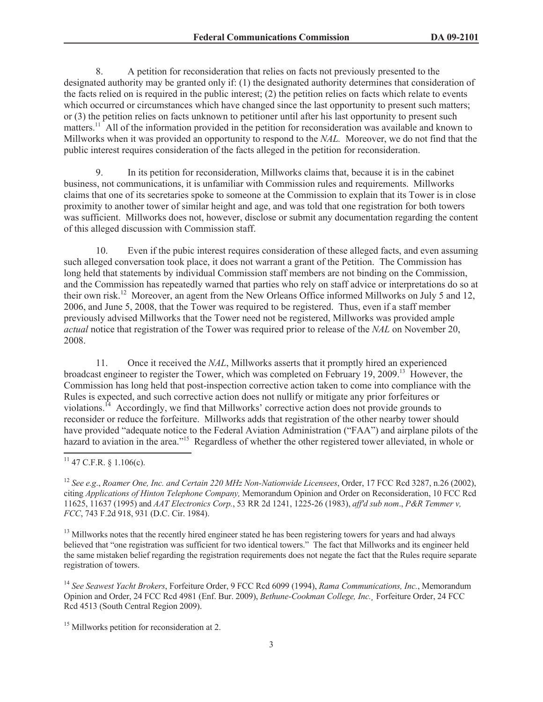8. A petition for reconsideration that relies on facts not previously presented to the designated authority may be granted only if: (1) the designated authority determines that consideration of the facts relied on is required in the public interest; (2) the petition relies on facts which relate to events which occurred or circumstances which have changed since the last opportunity to present such matters; or (3) the petition relies on facts unknown to petitioner until after his last opportunity to present such matters.<sup>11</sup> All of the information provided in the petition for reconsideration was available and known to Millworks when it was provided an opportunity to respond to the *NAL.* Moreover, we do not find that the public interest requires consideration of the facts alleged in the petition for reconsideration.

9. In its petition for reconsideration, Millworks claims that, because it is in the cabinet business, not communications, it is unfamiliar with Commission rules and requirements. Millworks claims that one of its secretaries spoke to someone at the Commission to explain that its Tower is in close proximity to another tower of similar height and age, and was told that one registration for both towers was sufficient. Millworks does not, however, disclose or submit any documentation regarding the content of this alleged discussion with Commission staff.

10. Even if the pubic interest requires consideration of these alleged facts, and even assuming such alleged conversation took place, it does not warrant a grant of the Petition. The Commission has long held that statements by individual Commission staff members are not binding on the Commission, and the Commission has repeatedly warned that parties who rely on staff advice or interpretations do so at their own risk.<sup>12</sup> Moreover, an agent from the New Orleans Office informed Millworks on July 5 and 12, 2006, and June 5, 2008, that the Tower was required to be registered. Thus, even if a staff member previously advised Millworks that the Tower need not be registered, Millworks was provided ample *actual* notice that registration of the Tower was required prior to release of the *NAL* on November 20, 2008.

11. Once it received the *NAL*, Millworks asserts that it promptly hired an experienced broadcast engineer to register the Tower, which was completed on February 19, 2009.<sup>13</sup> However, the Commission has long held that post-inspection corrective action taken to come into compliance with the Rules is expected, and such corrective action does not nullify or mitigate any prior forfeitures or violations.<sup>14</sup> Accordingly, we find that Millworks' corrective action does not provide grounds to reconsider or reduce the forfeiture. Millworks adds that registration of the other nearby tower should have provided "adequate notice to the Federal Aviation Administration ("FAA") and airplane pilots of the hazard to aviation in the area."<sup>15</sup> Regardless of whether the other registered tower alleviated, in whole or

<sup>13</sup> Millworks notes that the recently hired engineer stated he has been registering towers for years and had always believed that "one registration was sufficient for two identical towers." The fact that Millworks and its engineer held the same mistaken belief regarding the registration requirements does not negate the fact that the Rules require separate registration of towers.

<sup>14</sup> *See Seawest Yacht Brokers*, Forfeiture Order, 9 FCC Rcd 6099 (1994), *Rama Communications, Inc.*, Memorandum Opinion and Order, 24 FCC Rcd 4981 (Enf. Bur. 2009), *Bethune-Cookman College, Inc.¸* Forfeiture Order, 24 FCC Rcd 4513 (South Central Region 2009).

<sup>15</sup> Millworks petition for reconsideration at 2.

 $11$  47 C.F.R.  $\&$  1.106(c).

<sup>12</sup> *See e.g*., *Roamer One, Inc. and Certain 220 MHz Non-Nationwide Licensees*, Order, 17 FCC Rcd 3287, n.26 (2002), citing *Applications of Hinton Telephone Company,* Memorandum Opinion and Order on Reconsideration, 10 FCC Rcd 11625, 11637 (1995) and *AAT Electronics Corp.*, 53 RR 2d 1241, 1225-26 (1983), *aff'd sub nom*., *P&R Temmer v, FCC*, 743 F.2d 918, 931 (D.C. Cir. 1984).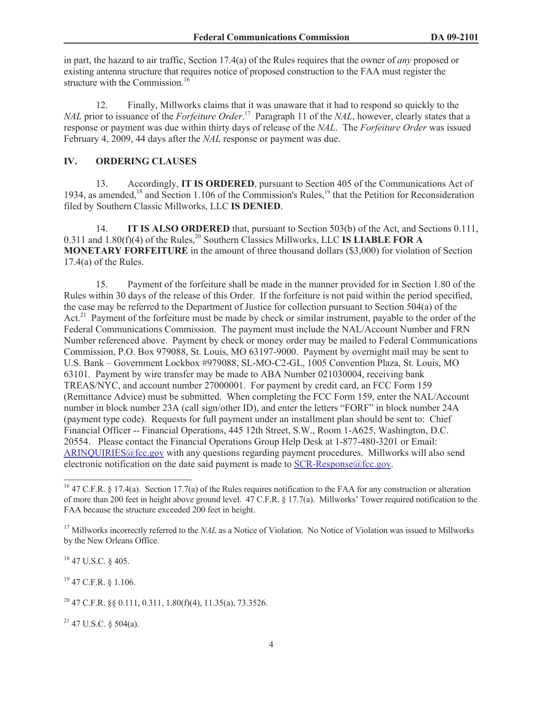in part, the hazard to air traffic, Section 17.4(a) of the Rules requires that the owner of *any* proposed or existing antenna structure that requires notice of proposed construction to the FAA must register the structure with the Commission.<sup>16</sup>

12. Finally, Millworks claims that it was unaware that it had to respond so quickly to the *NAL* prior to issuance of the *Forfeiture Order*. <sup>17</sup> Paragraph 11 of the *NAL*, however, clearly states that a response or payment was due within thirty days of release of the *NAL*. The *Forfeiture Order* was issued February 4, 2009, 44 days after the *NAL* response or payment was due.

#### **IV. ORDERING CLAUSES**

13. Accordingly, **IT IS ORDERED**, pursuant to Section 405 of the Communications Act of 1934, as amended,<sup>18</sup> and Section 1.106 of the Commission's Rules,<sup>19</sup> that the Petition for Reconsideration filed by Southern Classic Millworks, LLC **IS DENIED**.

14. **IT IS ALSO ORDERED** that, pursuant to Section 503(b) of the Act, and Sections 0.111,  $0.311$  and  $1.80(f)(4)$  of the Rules,<sup>20</sup> Southern Classics Millworks, LLC **IS LIABLE FOR A MONETARY FORFEITURE** in the amount of three thousand dollars (\$3,000) for violation of Section 17.4(a) of the Rules.

15. Payment of the forfeiture shall be made in the manner provided for in Section 1.80 of the Rules within 30 days of the release of this Order. If the forfeiture is not paid within the period specified, the case may be referred to the Department of Justice for collection pursuant to Section 504(a) of the Act.<sup>21</sup> Payment of the forfeiture must be made by check or similar instrument, payable to the order of the Federal Communications Commission. The payment must include the NAL/Account Number and FRN Number referenced above. Payment by check or money order may be mailed to Federal Communications Commission, P.O. Box 979088, St. Louis, MO 63197-9000. Payment by overnight mail may be sent to U.S. Bank – Government Lockbox #979088, SL-MO-C2-GL, 1005 Convention Plaza, St. Louis, MO 63101. Payment by wire transfer may be made to ABA Number 021030004, receiving bank TREAS/NYC, and account number 27000001. For payment by credit card, an FCC Form 159 (Remittance Advice) must be submitted. When completing the FCC Form 159, enter the NAL/Account number in block number 23A (call sign/other ID), and enter the letters "FORF" in block number 24A (payment type code). Requests for full payment under an installment plan should be sent to: Chief Financial Officer -- Financial Operations, 445 12th Street, S.W., Room 1-A625, Washington, D.C. 20554. Please contact the Financial Operations Group Help Desk at 1-877-480-3201 or Email: ARINQUIRIES@fcc.gov with any questions regarding payment procedures. Millworks will also send electronic notification on the date said payment is made to  $SCR\text{-}Response@fcc.gov$ .

<sup>18</sup> 47 U.S.C. § 405.

<sup>19</sup> 47 C.F.R. § 1.106.

 $21$  47 U.S.C. § 504(a).

<sup>&</sup>lt;sup>16</sup> 47 C.F.R. § 17.4(a). Section 17.7(a) of the Rules requires notification to the FAA for any construction or alteration of more than 200 feet in height above ground level. 47 C.F.R. § 17.7(a). Millworks' Tower required notification to the FAA because the structure exceeded 200 feet in height.

<sup>&</sup>lt;sup>17</sup> Millworks incorrectly referred to the *NAL* as a Notice of Violation. No Notice of Violation was issued to Millworks by the New Orleans Office.

<sup>&</sup>lt;sup>20</sup> 47 C.F.R. §§ 0.111, 0.311, 1.80(f)(4), 11.35(a), 73.3526.